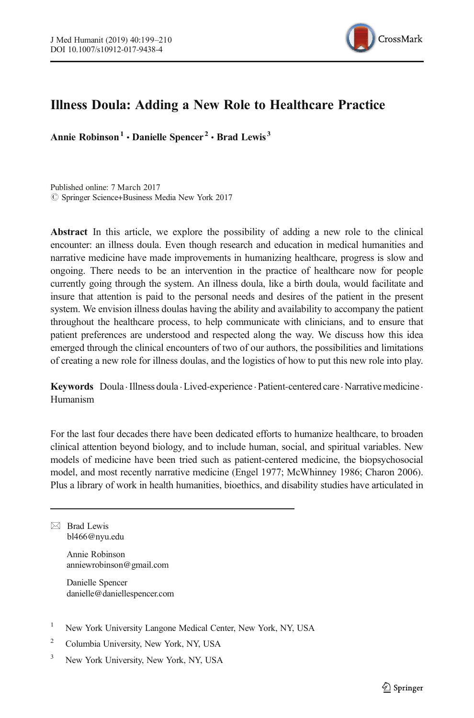

# Illness Doula: Adding a New Role to Healthcare Practice

Annie Robinson<sup>1</sup> · Danielle Spencer<sup>2</sup> · Brad Lewis<sup>3</sup>

 $\oslash$  Springer Science+Business Media New York 2017 Published online: 7 March 201 7

Abstract In this article, we explore the possibility of adding a new role to the clinical encounter: an illness doula. Even though research and education in medical humanities and narrative medicine have made improvements in humanizing healthcare, progress is slow and ongoing. There needs to be an intervention in the practice of healthcare now for people currently going through the system. An illness doula, like a birth doula, would facilitate and insure that attention is paid to the personal needs and desires of the patient in the present system. We envision illness doulas having the ability and availability to accompany the patient throughout the healthcare process, to help communicate with clinicians, and to ensure that patient preferences are understood and respected along the way. We discuss how this idea emerged through the clinical encounters of two of our authors, the possibilities and limitations of creating a new role for illness doulas, and the logistics of how to put this new role into play.

Keywords Doula . Illness doula . Lived-experience . Patient-centered care . Narrative medicine . Humanism

For the last four decades there have been dedicated efforts to humanize healthcare, to broaden clinical attention beyond biology, and to include human, social, and spiritual variables. New models of medicine have been tried such as patient-centered medicine, the biopsychosocial model, and most recently narrative medicine (Engel 1977; McWhinney 1986; Charon 2006). Plus a library of work in health humanities, bioethics, and disability studies have articulated in

 $\boxtimes$  Brad Lewis bl466@nyu.edu

> Annie Robinson anniewrobinson@gmail.com

Danielle Spencer danielle@daniellespencer.com

- <sup>1</sup> New York University Langone Medical Center, New York, NY, USA
- <sup>2</sup> Columbia University, New York, NY, USA
- <sup>3</sup> New York University, New York, NY, USA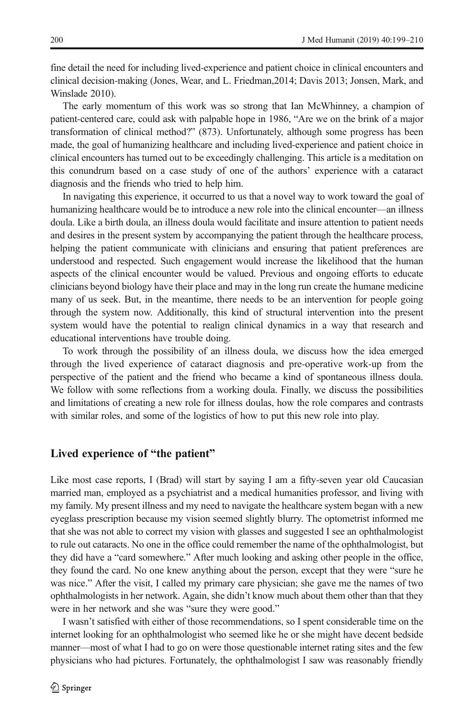fine detail the need for including lived-experience and patient choice in clinical encounters and clinical decision-making (Jones, Wear, and L. Friedman,2014; Davis 2013; Jonsen, Mark, and Winslade 2010).

The early momentum of this work was so strong that Ian McWhinney, a champion of patient-centered care, could ask with palpable hope in 1986, "Are we on the brink of a major transformation of clinical method?" (873). Unfortunately, although some progress has been made, the goal of humanizing healthcare and including lived-experience and patient choice in clinical encounters has turned out to be exceedingly challenging. This article is a meditation on this conundrum based on a case study of one of the authors' experience with a cataract diagnosis and the friends who tried to help him.

In navigating this experience, it occurred to us that a novel way to work toward the goal of humanizing healthcare would be to introduce a new role into the clinical encounter—an illness doula. Like a birth doula, an illness doula would facilitate and insure attention to patient needs and desires in the present system by accompanying the patient through the healthcare process, helping the patient communicate with clinicians and ensuring that patient preferences are understood and respected. Such engagement would increase the likelihood that the human aspects of the clinical encounter would be valued. Previous and ongoing efforts to educate clinicians beyond biology have their place and may in the long run create the humane medicine many of us seek. But, in the meantime, there needs to be an intervention for people going through the system now. Additionally, this kind of structural intervention into the present system would have the potential to realign clinical dynamics in a way that research and educational interventions have trouble doing.

To work through the possibility of an illness doula, we discuss how the idea emerged through the lived experience of cataract diagnosis and pre-operative work-up from the perspective of the patient and the friend who became a kind of spontaneous illness doula. We follow with some reflections from a working doula. Finally, we discuss the possibilities and limitations of creating a new role for illness doulas, how the role compares and contrasts with similar roles, and some of the logistics of how to put this new role into play.

#### Lived experience of "the patient"

Like most case reports, I (Brad) will start by saying I am a fifty-seven year old Caucasian married man, employed as a psychiatrist and a medical humanities professor, and living with my family. My present illness and my need to navigate the healthcare system began with a new eyeglass prescription because my vision seemed slightly blurry. The optometrist informed me that she was not able to correct my vision with glasses and suggested I see an ophthalmologist to rule out cataracts. No one in the office could remember the name of the ophthalmologist, but they did have a "card somewhere." After much looking and asking other people in the office, they found the card. No one knew anything about the person, except that they were "sure he was nice." After the visit, I called my primary care physician; she gave me the names of two ophthalmologists in her network. Again, she didn't know much about them other than that they were in her network and she was "sure they were good."

I wasn't satisfied with either of those recommendations, so I spent considerable time on the internet looking for an ophthalmologist who seemed like he or she might have decent bedside manner—most of what I had to go on were those questionable internet rating sites and the few physicians who had pictures. Fortunately, the ophthalmologist I saw was reasonably friendly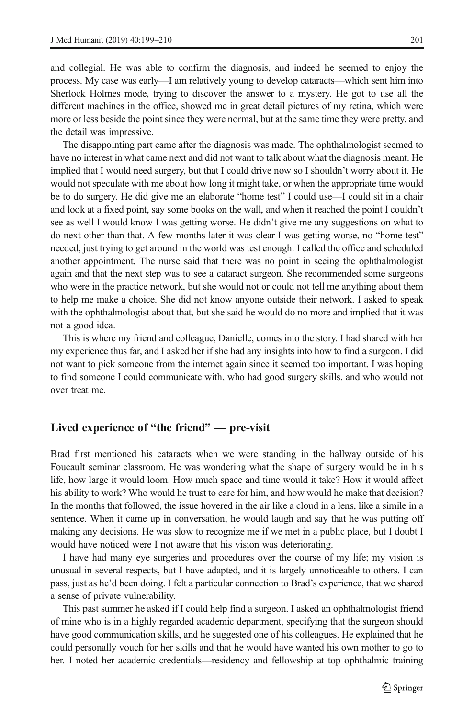and collegial. He was able to confirm the diagnosis, and indeed he seemed to enjoy the process. My case was early—I am relatively young to develop cataracts—which sent him into Sherlock Holmes mode, trying to discover the answer to a mystery. He got to use all the different machines in the office, showed me in great detail pictures of my retina, which were more or less beside the point since they were normal, but at the same time they were pretty, and the detail was impressive.

The disappointing part came after the diagnosis was made. The ophthalmologist seemed to have no interest in what came next and did not want to talk about what the diagnosis meant. He implied that I would need surgery, but that I could drive now so I shouldn't worry about it. He would not speculate with me about how long it might take, or when the appropriate time would be to do surgery. He did give me an elaborate "home test" I could use—I could sit in a chair and look at a fixed point, say some books on the wall, and when it reached the point I couldn't see as well I would know I was getting worse. He didn't give me any suggestions on what to do next other than that. A few months later it was clear I was getting worse, no "home test" needed, just trying to get around in the world was test enough. I called the office and scheduled another appointment. The nurse said that there was no point in seeing the ophthalmologist again and that the next step was to see a cataract surgeon. She recommended some surgeons who were in the practice network, but she would not or could not tell me anything about them to help me make a choice. She did not know anyone outside their network. I asked to speak with the ophthalmologist about that, but she said he would do no more and implied that it was not a good idea.

This is where my friend and colleague, Danielle, comes into the story. I had shared with her my experience thus far, and I asked her if she had any insights into how to find a surgeon. I did not want to pick someone from the internet again since it seemed too important. I was hoping to find someone I could communicate with, who had good surgery skills, and who would not over treat me.

# Lived experience of "the friend" — pre-visit

Brad first mentioned his cataracts when we were standing in the hallway outside of his Foucault seminar classroom. He was wondering what the shape of surgery would be in his life, how large it would loom. How much space and time would it take? How it would affect his ability to work? Who would he trust to care for him, and how would he make that decision? In the months that followed, the issue hovered in the air like a cloud in a lens, like a simile in a sentence. When it came up in conversation, he would laugh and say that he was putting off making any decisions. He was slow to recognize me if we met in a public place, but I doubt I would have noticed were I not aware that his vision was deteriorating.

I have had many eye surgeries and procedures over the course of my life; my vision is unusual in several respects, but I have adapted, and it is largely unnoticeable to others. I can pass, just as he'd been doing. I felt a particular connection to Brad's experience, that we shared a sense of private vulnerability.

This past summer he asked if I could help find a surgeon. I asked an ophthalmologist friend of mine who is in a highly regarded academic department, specifying that the surgeon should have good communication skills, and he suggested one of his colleagues. He explained that he could personally vouch for her skills and that he would have wanted his own mother to go to her. I noted her academic credentials—residency and fellowship at top ophthalmic training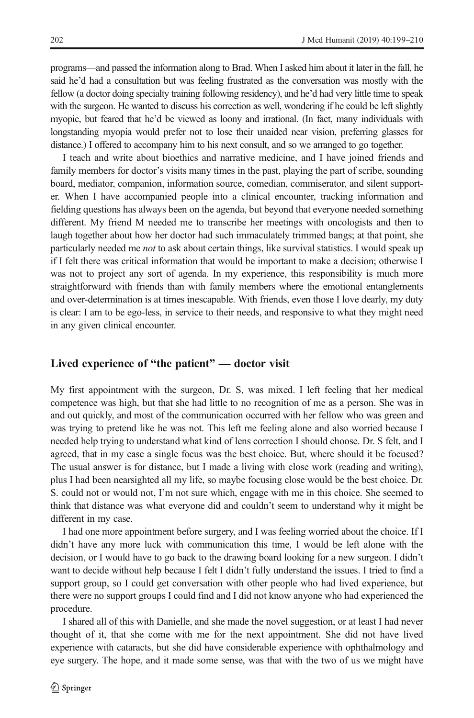programs—and passed the information along to Brad. When I asked him about it later in the fall, he said he'd had a consultation but was feeling frustrated as the conversation was mostly with the fellow (a doctor doing specialty training following residency), and he'd had very little time to speak with the surgeon. He wanted to discuss his correction as well, wondering if he could be left slightly myopic, but feared that he'd be viewed as loony and irrational. (In fact, many individuals with longstanding myopia would prefer not to lose their unaided near vision, preferring glasses for distance.) I offered to accompany him to his next consult, and so we arranged to go together.

I teach and write about bioethics and narrative medicine, and I have joined friends and family members for doctor's visits many times in the past, playing the part of scribe, sounding board, mediator, companion, information source, comedian, commiserator, and silent supporter. When I have accompanied people into a clinical encounter, tracking information and fielding questions has always been on the agenda, but beyond that everyone needed something different. My friend M needed me to transcribe her meetings with oncologists and then to laugh together about how her doctor had such immaculately trimmed bangs; at that point, she particularly needed me not to ask about certain things, like survival statistics. I would speak up if I felt there was critical information that would be important to make a decision; otherwise I was not to project any sort of agenda. In my experience, this responsibility is much more straightforward with friends than with family members where the emotional entanglements and over-determination is at times inescapable. With friends, even those I love dearly, my duty is clear: I am to be ego-less, in service to their needs, and responsive to what they might need in any given clinical encounter.

#### Lived experience of "the patient" — doctor visit

My first appointment with the surgeon, Dr. S, was mixed. I left feeling that her medical competence was high, but that she had little to no recognition of me as a person. She was in and out quickly, and most of the communication occurred with her fellow who was green and was trying to pretend like he was not. This left me feeling alone and also worried because I needed help trying to understand what kind of lens correction I should choose. Dr. S felt, and I agreed, that in my case a single focus was the best choice. But, where should it be focused? The usual answer is for distance, but I made a living with close work (reading and writing), plus I had been nearsighted all my life, so maybe focusing close would be the best choice. Dr. S. could not or would not, I'm not sure which, engage with me in this choice. She seemed to think that distance was what everyone did and couldn't seem to understand why it might be different in my case.

I had one more appointment before surgery, and I was feeling worried about the choice. If I didn't have any more luck with communication this time, I would be left alone with the decision, or I would have to go back to the drawing board looking for a new surgeon. I didn't want to decide without help because I felt I didn't fully understand the issues. I tried to find a support group, so I could get conversation with other people who had lived experience, but there were no support groups I could find and I did not know anyone who had experienced the procedure.

I shared all of this with Danielle, and she made the novel suggestion, or at least I had never thought of it, that she come with me for the next appointment. She did not have lived experience with cataracts, but she did have considerable experience with ophthalmology and eye surgery. The hope, and it made some sense, was that with the two of us we might have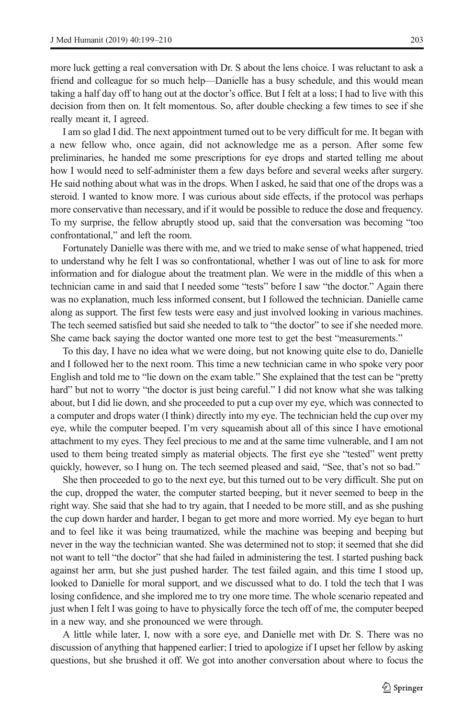more luck getting a real conversation with Dr. S about the lens choice. I was reluctant to ask a friend and colleague for so much help—Danielle has a busy schedule, and this would mean taking a half day off to hang out at the doctor's office. But I felt at a loss; I had to live with this decision from then on. It felt momentous. So, after double checking a few times to see if she really meant it, I agreed.

I am so glad I did. The next appointment turned out to be very difficult for me. It began with a new fellow who, once again, did not acknowledge me as a person. After some few preliminaries, he handed me some prescriptions for eye drops and started telling me about how I would need to self-administer them a few days before and several weeks after surgery. He said nothing about what was in the drops. When I asked, he said that one of the drops was a steroid. I wanted to know more. I was curious about side effects, if the protocol was perhaps more conservative than necessary, and if it would be possible to reduce the dose and frequency. To my surprise, the fellow abruptly stood up, said that the conversation was becoming "too confrontational," and left the room.

Fortunately Danielle was there with me, and we tried to make sense of what happened, tried to understand why he felt I was so confrontational, whether I was out of line to ask for more information and for dialogue about the treatment plan. We were in the middle of this when a technician came in and said that I needed some "tests" before I saw "the doctor." Again there was no explanation, much less informed consent, but I followed the technician. Danielle came along as support. The first few tests were easy and just involved looking in various machines. The tech seemed satisfied but said she needed to talk to "the doctor" to see if she needed more. She came back saying the doctor wanted one more test to get the best "measurements."

To this day, I have no idea what we were doing, but not knowing quite else to do, Danielle and I followed her to the next room. This time a new technician came in who spoke very poor English and told me to "lie down on the exam table." She explained that the test can be "pretty hard" but not to worry "the doctor is just being careful." I did not know what she was talking about, but I did lie down, and she proceeded to put a cup over my eye, which was connected to a computer and drops water (I think) directly into my eye. The technician held the cup over my eye, while the computer beeped. I'm very squeamish about all of this since I have emotional attachment to my eyes. They feel precious to me and at the same time vulnerable, and I am not used to them being treated simply as material objects. The first eye she "tested" went pretty quickly, however, so I hung on. The tech seemed pleased and said, "See, that's not so bad."

She then proceeded to go to the next eye, but this turned out to be very difficult. She put on the cup, dropped the water, the computer started beeping, but it never seemed to beep in the right way. She said that she had to try again, that I needed to be more still, and as she pushing the cup down harder and harder, I began to get more and more worried. My eye began to hurt and to feel like it was being traumatized, while the machine was beeping and beeping but never in the way the technician wanted. She was determined not to stop; it seemed that she did not want to tell "the doctor" that she had failed in administering the test. I started pushing back against her arm, but she just pushed harder. The test failed again, and this time I stood up, looked to Danielle for moral support, and we discussed what to do. I told the tech that I was losing confidence, and she implored me to try one more time. The whole scenario repeated and just when I felt I was going to have to physically force the tech off of me, the computer beeped in a new way, and she pronounced we were through.

A little while later, I, now with a sore eye, and Danielle met with Dr. S. There was no discussion of anything that happened earlier; I tried to apologize if I upset her fellow by asking questions, but she brushed it off. We got into another conversation about where to focus the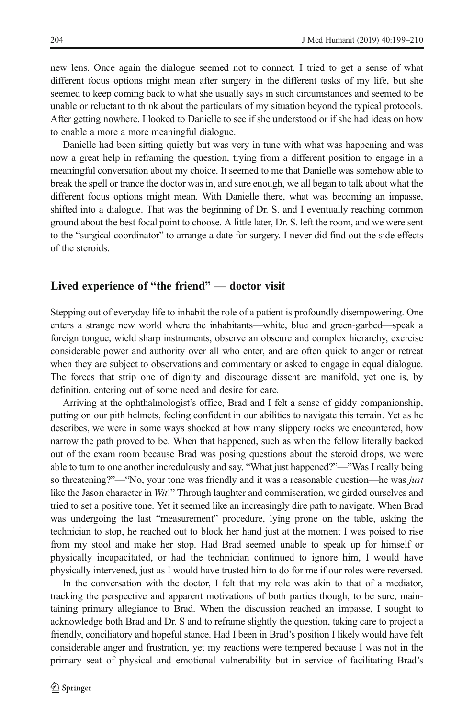new lens. Once again the dialogue seemed not to connect. I tried to get a sense of what different focus options might mean after surgery in the different tasks of my life, but she seemed to keep coming back to what she usually says in such circumstances and seemed to be unable or reluctant to think about the particulars of my situation beyond the typical protocols. After getting nowhere, I looked to Danielle to see if she understood or if she had ideas on how to enable a more a more meaningful dialogue.

Danielle had been sitting quietly but was very in tune with what was happening and was now a great help in reframing the question, trying from a different position to engage in a meaningful conversation about my choice. It seemed to me that Danielle was somehow able to break the spell or trance the doctor was in, and sure enough, we all began to talk about what the different focus options might mean. With Danielle there, what was becoming an impasse, shifted into a dialogue. That was the beginning of Dr. S. and I eventually reaching common ground about the best focal point to choose. A little later, Dr. S. left the room, and we were sent to the "surgical coordinator" to arrange a date for surgery. I never did find out the side effects of the steroids.

## Lived experience of "the friend" — doctor visit

Stepping out of everyday life to inhabit the role of a patient is profoundly disempowering. One enters a strange new world where the inhabitants—white, blue and green-garbed—speak a foreign tongue, wield sharp instruments, observe an obscure and complex hierarchy, exercise considerable power and authority over all who enter, and are often quick to anger or retreat when they are subject to observations and commentary or asked to engage in equal dialogue. The forces that strip one of dignity and discourage dissent are manifold, yet one is, by definition, entering out of some need and desire for care.

Arriving at the ophthalmologist's office, Brad and I felt a sense of giddy companionship, putting on our pith helmets, feeling confident in our abilities to navigate this terrain. Yet as he describes, we were in some ways shocked at how many slippery rocks we encountered, how narrow the path proved to be. When that happened, such as when the fellow literally backed out of the exam room because Brad was posing questions about the steroid drops, we were able to turn to one another incredulously and say, "What just happened?"—"Was I really being so threatening?"—"No, your tone was friendly and it was a reasonable question—he was *just* like the Jason character in Wit!" Through laughter and commiseration, we girded ourselves and tried to set a positive tone. Yet it seemed like an increasingly dire path to navigate. When Brad was undergoing the last "measurement" procedure, lying prone on the table, asking the technician to stop, he reached out to block her hand just at the moment I was poised to rise from my stool and make her stop. Had Brad seemed unable to speak up for himself or physically incapacitated, or had the technician continued to ignore him, I would have physically intervened, just as I would have trusted him to do for me if our roles were reversed.

In the conversation with the doctor, I felt that my role was akin to that of a mediator, tracking the perspective and apparent motivations of both parties though, to be sure, maintaining primary allegiance to Brad. When the discussion reached an impasse, I sought to acknowledge both Brad and Dr. S and to reframe slightly the question, taking care to project a friendly, conciliatory and hopeful stance. Had I been in Brad's position I likely would have felt considerable anger and frustration, yet my reactions were tempered because I was not in the primary seat of physical and emotional vulnerability but in service of facilitating Brad's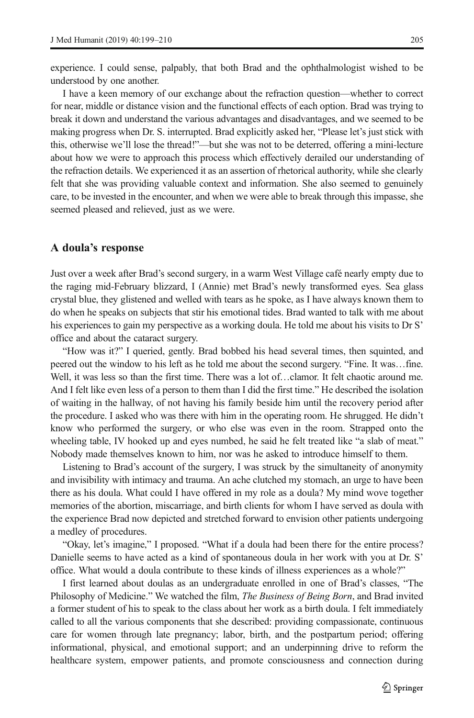experience. I could sense, palpably, that both Brad and the ophthalmologist wished to be understood by one another.

I have a keen memory of our exchange about the refraction question—whether to correct for near, middle or distance vision and the functional effects of each option. Brad was trying to break it down and understand the various advantages and disadvantages, and we seemed to be making progress when Dr. S. interrupted. Brad explicitly asked her, "Please let's just stick with this, otherwise we'll lose the thread!"—but she was not to be deterred, offering a mini-lecture about how we were to approach this process which effectively derailed our understanding of the refraction details. We experienced it as an assertion of rhetorical authority, while she clearly felt that she was providing valuable context and information. She also seemed to genuinely care, to be invested in the encounter, and when we were able to break through this impasse, she seemed pleased and relieved, just as we were.

#### A doula's response

Just over a week after Brad's second surgery, in a warm West Village café nearly empty due to the raging mid-February blizzard, I (Annie) met Brad's newly transformed eyes. Sea glass crystal blue, they glistened and welled with tears as he spoke, as I have always known them to do when he speaks on subjects that stir his emotional tides. Brad wanted to talk with me about his experiences to gain my perspective as a working doula. He told me about his visits to Dr S' office and about the cataract surgery.

"How was it?" I queried, gently. Brad bobbed his head several times, then squinted, and peered out the window to his left as he told me about the second surgery. "Fine. It was…fine. Well, it was less so than the first time. There was a lot of…clamor. It felt chaotic around me. And I felt like even less of a person to them than I did the first time." He described the isolation of waiting in the hallway, of not having his family beside him until the recovery period after the procedure. I asked who was there with him in the operating room. He shrugged. He didn't know who performed the surgery, or who else was even in the room. Strapped onto the wheeling table, IV hooked up and eyes numbed, he said he felt treated like "a slab of meat." Nobody made themselves known to him, nor was he asked to introduce himself to them.

Listening to Brad's account of the surgery, I was struck by the simultaneity of anonymity and invisibility with intimacy and trauma. An ache clutched my stomach, an urge to have been there as his doula. What could I have offered in my role as a doula? My mind wove together memories of the abortion, miscarriage, and birth clients for whom I have served as doula with the experience Brad now depicted and stretched forward to envision other patients undergoing a medley of procedures.

"Okay, let's imagine," I proposed. "What if a doula had been there for the entire process? Danielle seems to have acted as a kind of spontaneous doula in her work with you at Dr. S' office. What would a doula contribute to these kinds of illness experiences as a whole?"

I first learned about doulas as an undergraduate enrolled in one of Brad's classes, "The Philosophy of Medicine." We watched the film, *The Business of Being Born*, and Brad invited a former student of his to speak to the class about her work as a birth doula. I felt immediately called to all the various components that she described: providing compassionate, continuous care for women through late pregnancy; labor, birth, and the postpartum period; offering informational, physical, and emotional support; and an underpinning drive to reform the healthcare system, empower patients, and promote consciousness and connection during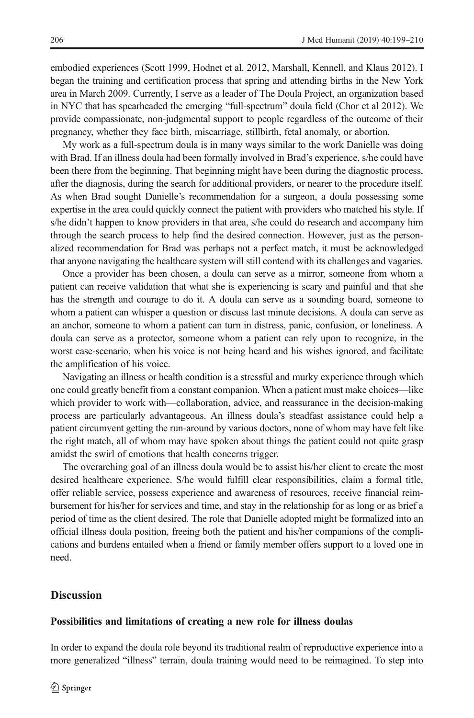embodied experiences (Scott 1999, Hodnet et al. 2012, Marshall, Kennell, and Klaus 2012). I began the training and certification process that spring and attending births in the New York area in March 2009. Currently, I serve as a leader of The Doula Project, an organization based in NYC that has spearheaded the emerging "full-spectrum" doula field (Chor et al 2012). We provide compassionate, non-judgmental support to people regardless of the outcome of their pregnancy, whether they face birth, miscarriage, stillbirth, fetal anomaly, or abortion.

My work as a full-spectrum doula is in many ways similar to the work Danielle was doing with Brad. If an illness doula had been formally involved in Brad's experience, s/he could have been there from the beginning. That beginning might have been during the diagnostic process, after the diagnosis, during the search for additional providers, or nearer to the procedure itself. As when Brad sought Danielle's recommendation for a surgeon, a doula possessing some expertise in the area could quickly connect the patient with providers who matched his style. If s/he didn't happen to know providers in that area, s/he could do research and accompany him through the search process to help find the desired connection. However, just as the personalized recommendation for Brad was perhaps not a perfect match, it must be acknowledged that anyone navigating the healthcare system will still contend with its challenges and vagaries.

Once a provider has been chosen, a doula can serve as a mirror, someone from whom a patient can receive validation that what she is experiencing is scary and painful and that she has the strength and courage to do it. A doula can serve as a sounding board, someone to whom a patient can whisper a question or discuss last minute decisions. A doula can serve as an anchor, someone to whom a patient can turn in distress, panic, confusion, or loneliness. A doula can serve as a protector, someone whom a patient can rely upon to recognize, in the worst case-scenario, when his voice is not being heard and his wishes ignored, and facilitate the amplification of his voice.

Navigating an illness or health condition is a stressful and murky experience through which one could greatly benefit from a constant companion. When a patient must make choices—like which provider to work with—collaboration, advice, and reassurance in the decision-making process are particularly advantageous. An illness doula's steadfast assistance could help a patient circumvent getting the run-around by various doctors, none of whom may have felt like the right match, all of whom may have spoken about things the patient could not quite grasp amidst the swirl of emotions that health concerns trigger.

The overarching goal of an illness doula would be to assist his/her client to create the most desired healthcare experience. S/he would fulfill clear responsibilities, claim a formal title, offer reliable service, possess experience and awareness of resources, receive financial reimbursement for his/her for services and time, and stay in the relationship for as long or as brief a period of time as the client desired. The role that Danielle adopted might be formalized into an official illness doula position, freeing both the patient and his/her companions of the complications and burdens entailed when a friend or family member offers support to a loved one in need.

### **Discussion**

#### Possibilities and limitations of creating a new role for illness doulas

In order to expand the doula role beyond its traditional realm of reproductive experience into a more generalized "illness" terrain, doula training would need to be reimagined. To step into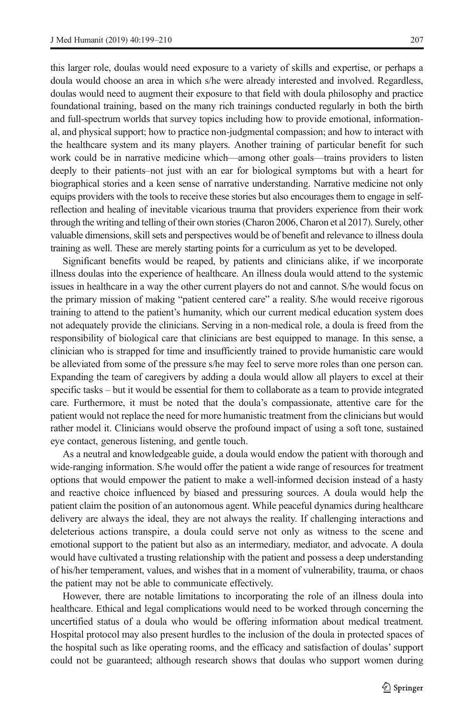this larger role, doulas would need exposure to a variety of skills and expertise, or perhaps a doula would choose an area in which s/he were already interested and involved. Regardless, doulas would need to augment their exposure to that field with doula philosophy and practice foundational training, based on the many rich trainings conducted regularly in both the birth and full-spectrum worlds that survey topics including how to provide emotional, informational, and physical support; how to practice non-judgmental compassion; and how to interact with the healthcare system and its many players. Another training of particular benefit for such work could be in narrative medicine which—among other goals—trains providers to listen deeply to their patients–not just with an ear for biological symptoms but with a heart for biographical stories and a keen sense of narrative understanding. Narrative medicine not only equips providers with the tools to receive these stories but also encourages them to engage in selfreflection and healing of inevitable vicarious trauma that providers experience from their work through the writing and telling of their own stories (Charon 2006, Charon et al 2017). Surely, other valuable dimensions, skill sets and perspectives would be of benefit and relevance to illness doula training as well. These are merely starting points for a curriculum as yet to be developed.

Significant benefits would be reaped, by patients and clinicians alike, if we incorporate illness doulas into the experience of healthcare. An illness doula would attend to the systemic issues in healthcare in a way the other current players do not and cannot. S/he would focus on the primary mission of making "patient centered care" a reality. S/he would receive rigorous training to attend to the patient's humanity, which our current medical education system does not adequately provide the clinicians. Serving in a non-medical role, a doula is freed from the responsibility of biological care that clinicians are best equipped to manage. In this sense, a clinician who is strapped for time and insufficiently trained to provide humanistic care would be alleviated from some of the pressure s/he may feel to serve more roles than one person can. Expanding the team of caregivers by adding a doula would allow all players to excel at their specific tasks – but it would be essential for them to collaborate as a team to provide integrated care. Furthermore, it must be noted that the doula's compassionate, attentive care for the patient would not replace the need for more humanistic treatment from the clinicians but would rather model it. Clinicians would observe the profound impact of using a soft tone, sustained eye contact, generous listening, and gentle touch.

As a neutral and knowledgeable guide, a doula would endow the patient with thorough and wide-ranging information. S/he would offer the patient a wide range of resources for treatment options that would empower the patient to make a well-informed decision instead of a hasty and reactive choice influenced by biased and pressuring sources. A doula would help the patient claim the position of an autonomous agent. While peaceful dynamics during healthcare delivery are always the ideal, they are not always the reality. If challenging interactions and deleterious actions transpire, a doula could serve not only as witness to the scene and emotional support to the patient but also as an intermediary, mediator, and advocate. A doula would have cultivated a trusting relationship with the patient and possess a deep understanding of his/her temperament, values, and wishes that in a moment of vulnerability, trauma, or chaos the patient may not be able to communicate effectively.

However, there are notable limitations to incorporating the role of an illness doula into healthcare. Ethical and legal complications would need to be worked through concerning the uncertified status of a doula who would be offering information about medical treatment. Hospital protocol may also present hurdles to the inclusion of the doula in protected spaces of the hospital such as like operating rooms, and the efficacy and satisfaction of doulas' support could not be guaranteed; although research shows that doulas who support women during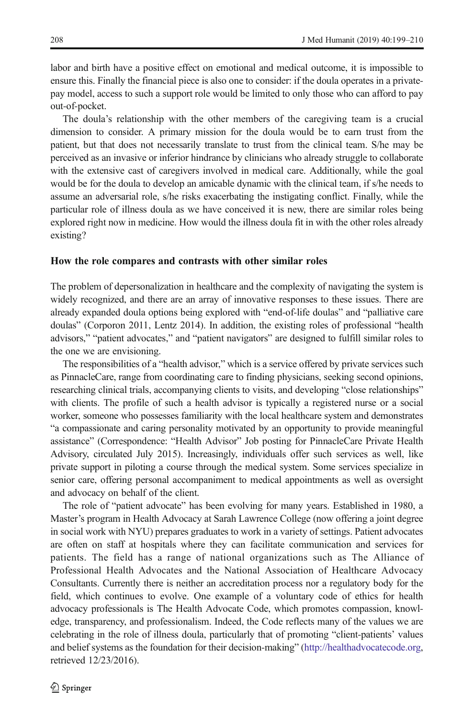labor and birth have a positive effect on emotional and medical outcome, it is impossible to ensure this. Finally the financial piece is also one to consider: if the doula operates in a privatepay model, access to such a support role would be limited to only those who can afford to pay out-of-pocket.

The doula's relationship with the other members of the caregiving team is a crucial dimension to consider. A primary mission for the doula would be to earn trust from the patient, but that does not necessarily translate to trust from the clinical team. S/he may be perceived as an invasive or inferior hindrance by clinicians who already struggle to collaborate with the extensive cast of caregivers involved in medical care. Additionally, while the goal would be for the doula to develop an amicable dynamic with the clinical team, if s/he needs to assume an adversarial role, s/he risks exacerbating the instigating conflict. Finally, while the particular role of illness doula as we have conceived it is new, there are similar roles being explored right now in medicine. How would the illness doula fit in with the other roles already existing?

#### How the role compares and contrasts with other similar roles

The problem of depersonalization in healthcare and the complexity of navigating the system is widely recognized, and there are an array of innovative responses to these issues. There are already expanded doula options being explored with "end-of-life doulas" and "palliative care doulas" (Corporon 2011, Lentz 2014). In addition, the existing roles of professional "health advisors," "patient advocates," and "patient navigators" are designed to fulfill similar roles to the one we are envisioning.

The responsibilities of a "health advisor," which is a service offered by private services such as PinnacleCare, range from coordinating care to finding physicians, seeking second opinions, researching clinical trials, accompanying clients to visits, and developing "close relationships" with clients. The profile of such a health advisor is typically a registered nurse or a social worker, someone who possesses familiarity with the local healthcare system and demonstrates "a compassionate and caring personality motivated by an opportunity to provide meaningful assistance" (Correspondence: "Health Advisor" Job posting for PinnacleCare Private Health Advisory, circulated July 2015). Increasingly, individuals offer such services as well, like private support in piloting a course through the medical system. Some services specialize in senior care, offering personal accompaniment to medical appointments as well as oversight and advocacy on behalf of the client.

The role of "patient advocate" has been evolving for many years. Established in 1980, a Master's program in Health Advocacy at Sarah Lawrence College (now offering a joint degree in social work with NYU) prepares graduates to work in a variety of settings. Patient advocates are often on staff at hospitals where they can facilitate communication and services for patients. The field has a range of national organizations such as The Alliance of Professional Health Advocates and the National Association of Healthcare Advocacy Consultants. Currently there is neither an accreditation process nor a regulatory body for the field, which continues to evolve. One example of a voluntary code of ethics for health advocacy professionals is The Health Advocate Code, which promotes compassion, knowledge, transparency, and professionalism. Indeed, the Code reflects many of the values we are celebrating in the role of illness doula, particularly that of promoting "client-patients' values and belief systems as the foundation for their decision-making" [\(http://healthadvocatecode.org](http://healthadvocatecode.org/), retrieved 12/23/2016).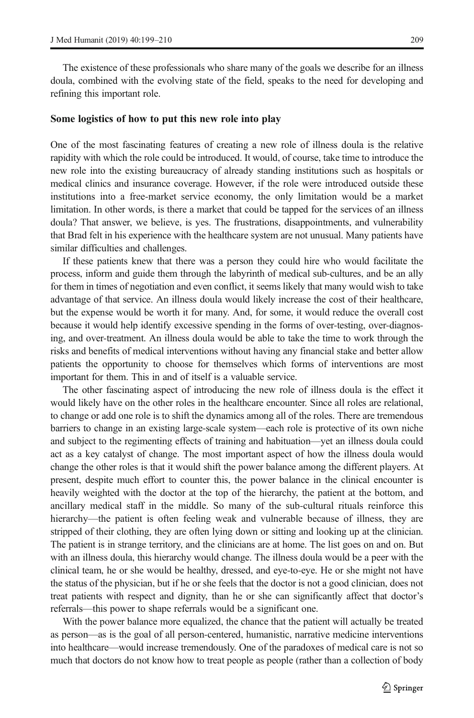The existence of these professionals who share many of the goals we describe for an illness doula, combined with the evolving state of the field, speaks to the need for developing and refining this important role.

#### Some logistics of how to put this new role into play

One of the most fascinating features of creating a new role of illness doula is the relative rapidity with which the role could be introduced. It would, of course, take time to introduce the new role into the existing bureaucracy of already standing institutions such as hospitals or medical clinics and insurance coverage. However, if the role were introduced outside these institutions into a free-market service economy, the only limitation would be a market limitation. In other words, is there a market that could be tapped for the services of an illness doula? That answer, we believe, is yes. The frustrations, disappointments, and vulnerability that Brad felt in his experience with the healthcare system are not unusual. Many patients have similar difficulties and challenges.

If these patients knew that there was a person they could hire who would facilitate the process, inform and guide them through the labyrinth of medical sub-cultures, and be an ally for them in times of negotiation and even conflict, it seems likely that many would wish to take advantage of that service. An illness doula would likely increase the cost of their healthcare, but the expense would be worth it for many. And, for some, it would reduce the overall cost because it would help identify excessive spending in the forms of over-testing, over-diagnosing, and over-treatment. An illness doula would be able to take the time to work through the risks and benefits of medical interventions without having any financial stake and better allow patients the opportunity to choose for themselves which forms of interventions are most important for them. This in and of itself is a valuable service.

The other fascinating aspect of introducing the new role of illness doula is the effect it would likely have on the other roles in the healthcare encounter. Since all roles are relational, to change or add one role is to shift the dynamics among all of the roles. There are tremendous barriers to change in an existing large-scale system—each role is protective of its own niche and subject to the regimenting effects of training and habituation—yet an illness doula could act as a key catalyst of change. The most important aspect of how the illness doula would change the other roles is that it would shift the power balance among the different players. At present, despite much effort to counter this, the power balance in the clinical encounter is heavily weighted with the doctor at the top of the hierarchy, the patient at the bottom, and ancillary medical staff in the middle. So many of the sub-cultural rituals reinforce this hierarchy—the patient is often feeling weak and vulnerable because of illness, they are stripped of their clothing, they are often lying down or sitting and looking up at the clinician. The patient is in strange territory, and the clinicians are at home. The list goes on and on. But with an illness doula, this hierarchy would change. The illness doula would be a peer with the clinical team, he or she would be healthy, dressed, and eye-to-eye. He or she might not have the status of the physician, but if he or she feels that the doctor is not a good clinician, does not treat patients with respect and dignity, than he or she can significantly affect that doctor's referrals—this power to shape referrals would be a significant one.

With the power balance more equalized, the chance that the patient will actually be treated as person—as is the goal of all person-centered, humanistic, narrative medicine interventions into healthcare—would increase tremendously. One of the paradoxes of medical care is not so much that doctors do not know how to treat people as people (rather than a collection of body